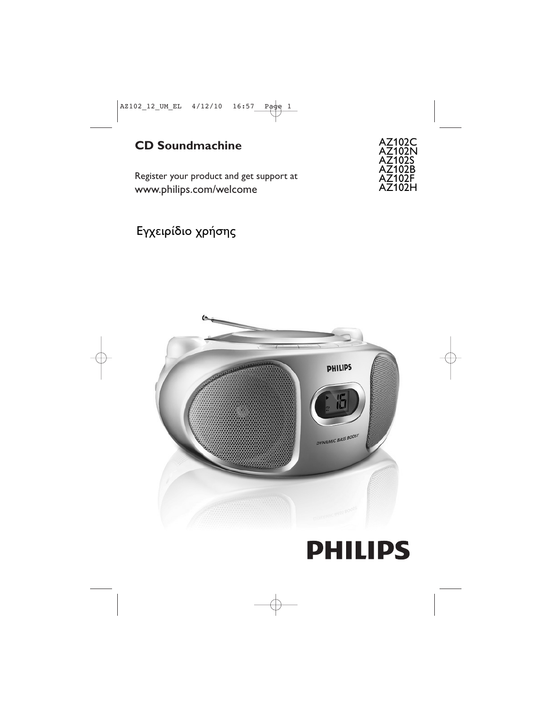## **CD Soundmachine**

Register your product and get support at www.philips.com/welcome

AZ102C AZ102N AZ102S AZ102B AZ102F AZ102H

Εγχειρίδιο χρήσης



# **PHILIPS**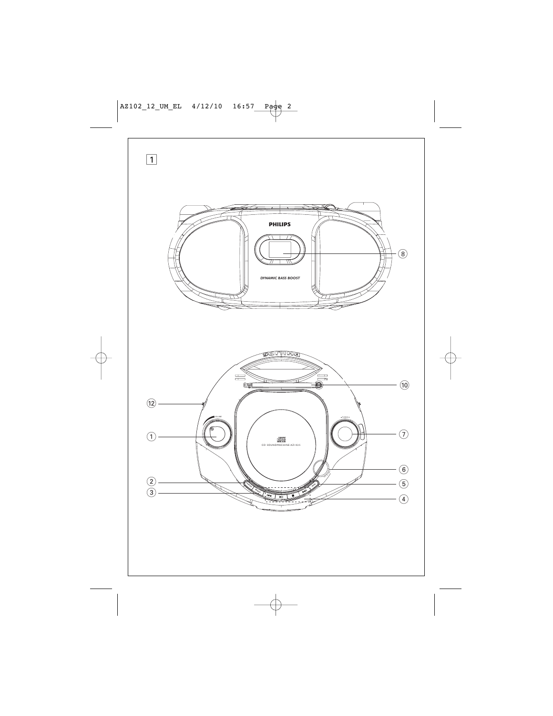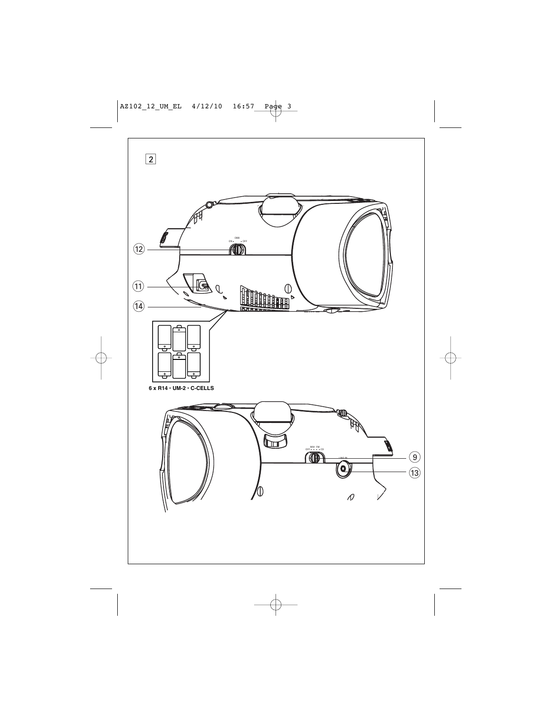![](_page_2_Figure_0.jpeg)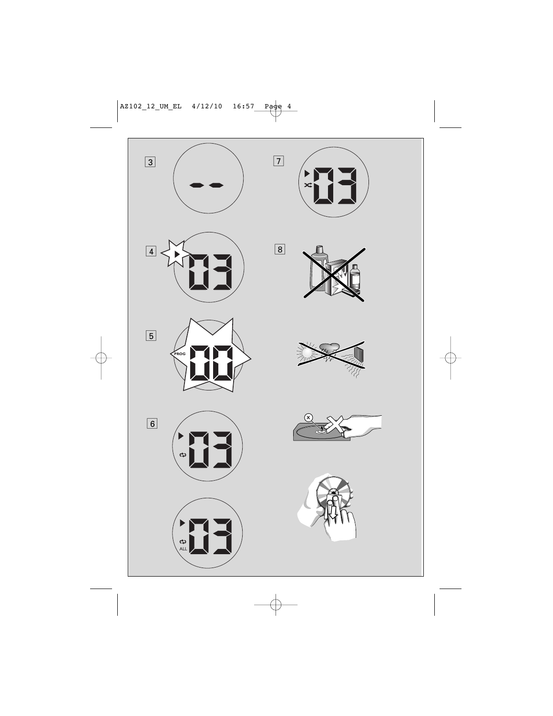![](_page_3_Figure_0.jpeg)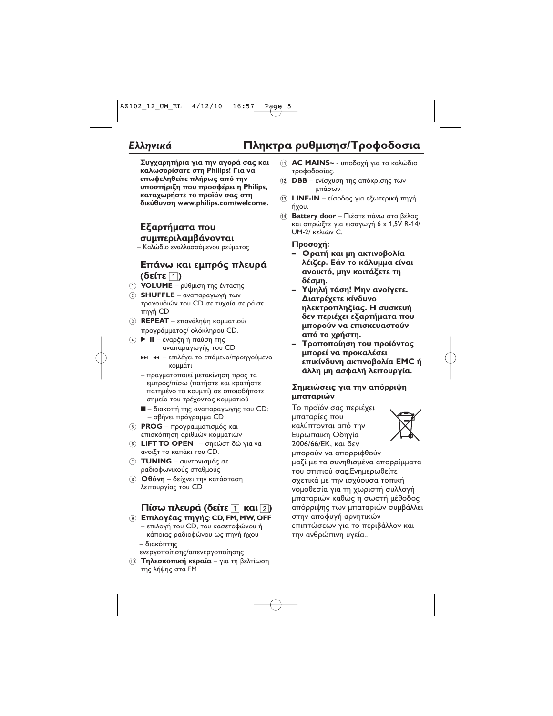### *Ελληνικά* **Πλ**

# ηκτρα ρυθμισησ/Τροφοδοσια

Συγχαρητήρια για την αγορά σας και **καλωσορίσατε στη Philips! Για να** επωφεληθείτε πλήρως από την **υποστήριξη που προσφέρει η Philips,** καταχωρήστε το προϊόν σας στη  **# www.philips.com/welcome.**

### **Εξαρτήματα που συμπεριλαμβάνονται**

– Καλώδιο εναλλασσόμενου ρεύματος

#### **Επάνω και εμπρός πλευρά (** 1**)**

- 1 **VOLUME** ρύθμιση της έντασης
- 2)**SHUFFLE** αναπαραγωγή των τραγουδιών του CD σε τυχαία σειρά.σε πηγή CD
- $(3)$  **REPEAT** επανάληψη κομματιού/ προγράμματος/ ολόκληρου CD.
- ④ ▶ Ⅱ έναρξη ή παύση της αναπαραγωγής του CD
	- ►► । ← επιλέγει το επόμενο/προηγούμενο κομμάτι
	- πραγματοποιεί μετακίνηση προς τα εμπρός/πίσω (πατήστε και κρατήστε πατημένο το κουμπί) σε οποιοδήποτε σημείο του τρέχοντος κομματιού
	- – διακοπή της αναπαραγωγής του CD; – σβήνει πρόγραμμα CD
- 5 **PROG** προγραμματισμός και επισκόπηση αριθμών κομματιών
- 6 **LIFT TO OPEN** σηκώστ δώ για να ανοίξτ το καπάκι του CD.
- 7 **TUNING**
ραδιοφωνικούς σταθμούς
- 8 **Οθόνη** δείχνει την κατάσταση λειτουργίας του CD

### **Πίσω πλευρά (δείτε** 1 και 2)

- **9 Επιλογέας πηγής: CD, FM, MW, OFF** 
	- επιλογή του CD, του κασετοφώνου ή κάποιας ραδιοφώνου ως πηγή ήχου – διακόπτης
	-
	- ενεργοποίησης/απενεργοποίησης
- Ό **Τηλεσκοπική κεραία** για τη βελτίωση της λήψης στα FM
- $\textcircled{\tiny{1}}$  **AC MAINS~** υποδοχή για το καλώδιο τροφοδοσίας.
- (12) **DBB** ενίσχυση της απόκρισης των μπάσων.
- 13 **LINE-IN** είσοδος για εξωτερική πηγή ήχου.
- 14 **Battery door** Πιέστε πάνω στο βέλος και σπρώξτε για εισαγωγή 6 x 1,5V R-14/ UM-2/ κελιών C.

#### **:**

- Ορατή και μη ακτινοβολία λέιζερ. Εάν το κάλυμμα είναι **ανοικτό, μην κοιτάξετε τη**  $\delta$ έσμη.
- Υψηλή τάση! Μην ανοίγετε. Διατρέχετε κίνδυνο **ηλεκτροπληξίας. Η συσκευή** δεν περιέχει εξαρτήματα που μπορούν να επισκευαστούν από το χρήστη.
- **-** Τροποποίηση του προϊόντος μπορεί να προκαλέσει **επικίνδυνη ακτινοβολία ΕΜC** ή άλλη μη ασφαλή λειτουργία.

#### Σημειώσεις για την απόρριψη **μπαταριών**

Το προϊόν σας περιέχει μπαταρίες που καλύπτονται από την Ευρωπαϊκή Οδηγία 2006/66/ΕΚ, και δεν

![](_page_4_Picture_33.jpeg)

μπορούν να απορριφθούν μαζί με τα συνηθισμένα απορρίμματα του σπιτιού σας. Ενημερωθείτε σχετικά με την ισχύουσα τοπική νομοθεσία για τη χωριστή συλλογή μπαταριών καθώς η σωστή μέθοδος απόρριψης των μπαταριών συμβάλλει στην αποφυγή αρνητικών επιπτώσεων για το περιβάλλον και την ανθρώπινη υγεία..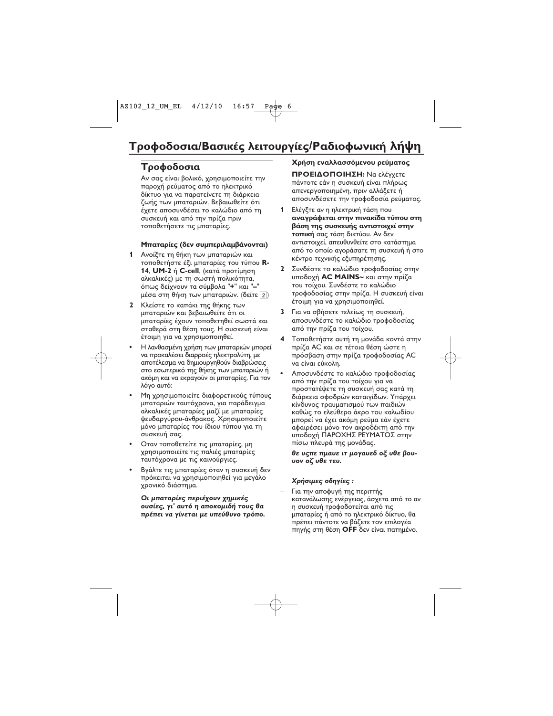### Τροφοδοσια

Αν σας είναι βολικό, χρησιμοποιείτε την παροχή ρεύματος από το ηλεκτρικό δίκτυο για να παρατείνετε τη διάρκεια ζωής των μπαταριών. Βεβαιωθείτε ότι έχετε αποσυνδέσει το καλώδιο από τη συσκευή και από την πρίζα πριν τοποθετήσετε τις μπαταρίες.

#### Μπαταρίες (δεν συμπεριλαμβάνονται)

- 1 Ανοίξτε τη θήκη των μπαταριών και τοποθετήστε έξι μπαταρίες του τύπου R-14, UM-2 ή C-cell, (κατά προτίμηση αλκαλικές) με τη σωστή πολικότητα, όπως δείχνουν τα σύμβολα "+" και "-" μέσα στη θήκη των μπαταριών. (δείτε 2)
- 2 Κλείστε το καπάκι της θήκης των μπαταριών και βεβαιωθείτε ότι οι μπαταρίες έχουν τοποθετηθεί σωστά και σταθερά στη θέση τους. Η συσκευή είναι έτοιμη για να χρησιμοποιηθεί.
- Η λανθασμένη χρήση των μπαταριών μπορεί να προκαλέσει διαρροές ηλεκτρολύτη, με αποτέλεσμα να δημιουργηθούν διαβρώσεις στο εσωτερικό της θήκης των μπαταριών ή ακόμη και να εκραγούν οι μπαταρίες. Για τον λόγο αυτό:
- Μη χρησιμοποιείτε διαφορετικούς τύπους μπαταριών ταυτόχρονα, για παράδειγμα αλκαλικές μπαταρίες μαζί με μπαταρίες ψευδαργύρου-άνθρακος. Χρησιμοποιείτε μόνο μπαταρίες του ίδιου τύπου για τη συσκευή σας.
- Οταν τοποθετείτε τις μπαταρίες, μη χρησιμοποιείτε τις παλιές μπαταρίες ταυτόχρονα με τις καινούργιες.
- Βγάλτε τις μπαταρίες όταν η συσκευή δεν πρόκειται να χρησιμοποιηθεί για μεγάλο χρονικό διάστημα.

Οι μπαταρίες περιέχουν χημικές ουσίες, γι' αυτό η αποκομιδή τους θα πρέπει να γίνεται με υπεύθυνο τρόπο.

### Χρήση εναλλασσόμενου ρεύματος

ΠΡΟΕΙΔΟΠΟΙΗΣΗ: Να ελέγχετε πάντοτε εάν η συσκευή είναι πλήρως απενεργοποιημένη, πριν αλλάξετε ή αποσυνδέσετε την τροφοδοσία ρεύματος.

- Ελέγξτε αν η ηλεκτρική τάση που 1. αναγράφεται στην πινακίδα τύπου στη βάση της συσκευής αντιστοιχεί στην τοπική σας τάση δικτύου. Αν δεν αντιστοιχεί, απευθυνθείτε στο κατάστημα από το οποίο αγοράσατε τη συσκευή ή στο κέντρο τεχνικής εξυπηρέτησης.
- Συνδέστε το καλώδιο τροφοδοσίας στην  $\mathbf{z}$ υποδοχή AC MAINS~ και στην πρίζα του τοίχου. Συνδέστε το καλώδιο τροφοδοσίας στην πρίζα. Η συσκευή είναι έτοιμη για να χρησιμοποιηθεί.
- 3 Για να σβήσετε τελείως τη συσκευή, αποσυνδέστε το καλώδιο τροφοδοσίας από την πρίζα του τοίχου.
- 4 Τοποθετήστε αυτή τη μονάδα κοντά στην πρίζα AC και σε τέτοια θέση ώστε η πρόσβαση στην πρίζα τροφοδοσίας AC να είναι εύκολη.
- Αποσυνδέστε το καλώδιο τροφοδοσίας από την πρίζα του τοίχου για να προστατέψετε τη συσκευή σας κατά τη διάρκεια σφοδρών καταιγίδων. Υπάρχει κίνδυνος τραυματισμού των παιδιών καθώς το ελεύθερο άκρο του καλωδίου μπορεί να έχει ακόμη ρεύμα εάν έχετε αφαιρέσει μόνο τον ακροδέκτη από την υποδοχή ΠΑΡΟΧΗΣ ΡΕΥΜΑΤΟΣ στην πίσω πλευρά της μονάδας.

#### θε υςπε πμαυε ιτ μογαυεδ οξ υθε βουυον οζ υθε τευ.

#### Χρήσιμες οδηγίες:

Για την αποφυγή της περιττής κατανάλωσης ενέργειας, άσχετα από το αν η συσκευή τροφοδοτείται από τις μπαταρίες ή από το ηλεκτρικό δίκτυο, θα πρέπει πάντοτε να βάζετε τον επιλογέα πηγής στη θέση ΟΕΕ δεν είναι πατημένο.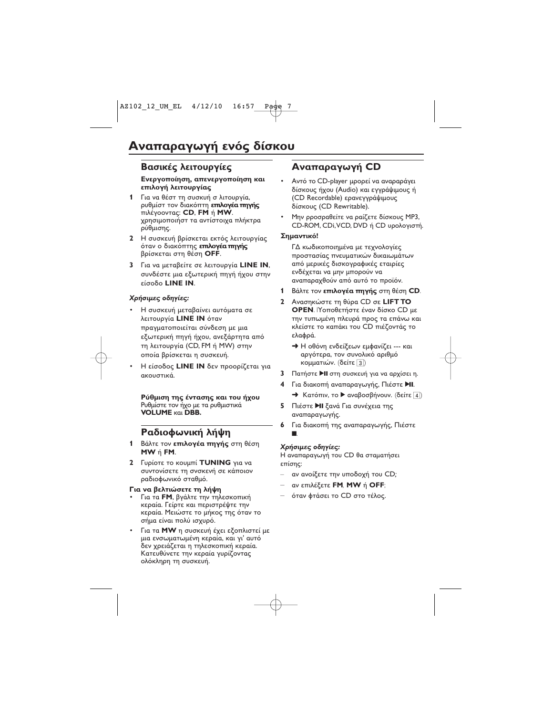### **Βασικές λειτουργίες**

#### **Ε**νεργοποίηση, απενεργοποίηση και **επιλογή λειτουργίας**

- **1** Για να θέστ τη συσκυή σ λιτουργία, ρυθμίστ τον διακόπτη **επιλογέα πηγής πιλέγοοντας: CD, FM** ή **MW**. χρησιμοποιήστ τα αντίστοιχα πλήκτρα ρύθμισης.
- **2** Η συσκευή βρίσκεται εκτός λειτουργίας όταν ο διακόπτης **επιλογέα πηγής** βρίσκεται στη θέση OFF.
- **3** Για να μεταβείτε σε λειτουργία **LINE IN**, συνδέστε μια εξωτερική πηγή ήχου στην **<u>Σίσοδο LINE</u></u> IN.**

#### Χρήσιμες οδηγίες:

- Η συσκευή μεταβαίνει αυτόματα σε λειτουργία **LINE IN** όταν πραγματοποιείται σύνδεση με μια εξωτερική πηγή ήχου, ανεξάρτητα από τη λειτουργία (CD, FM ή MW) στην οποία βρίσκεται η συσκευή.
- Hείσοδος **LINE IN** δεν προορίζεται για ακουστικά.

Ρύθμιση της έντασης και του ήχου Ρυθμίστε τον ήχο με τα ρυθμιστικά **VOLUME KGL DBB.** 

### **Ραδιοφωνική λήψη**

- **1** Βάλτε τον **επιλογέα πηγής** στη θέση **MW FM**.
- **2** Γυρίοτε το κουμπί **TUNING** για να συντονίσετε τη σνσκενή σε κάποιον ραδιοφωνικό σταθμό.

#### **Για να βελτιώσετε τη λήψη**

- Για τα **FM**, βγάλτε την τηλεσκοπική κεραία. Γείρτε και περιστρέψτε την κεραία. Μειώστε το μήκος της όταν το σήμα είναι πολύ ισχυρό.
- Για τα **MW** η συσκευή έχει εξοπλιστεί με μια ενσωματωμένη κεραία, και γι' αυτό δεν χρειάζεται η τηλεσκοπική κεραία. Κατευθύνετε την κεραία γυρίζοντας ολόκληρη τη συσκευή.

### *Aναπαραγωγή CD*

- Aντό το CD-player μρορεί να αναραράγει δίσκους ήχου (Audio) και εγγράψιμους ή (CD Recordable) ερανεγγράψιμους 
 (CD Rewritable).
- Μην ρροσραθείτε να ραίζετε δίσκους ΜΡ3, CD-ROM, CDi, VCD, DVD ή CD υρολογιστή.

#### Σημαντικό!

ΓΔ κωδικοποιημένα με τεχνολογίες προστασίας πνευματικών δικαιωμάτων από μερικές δισκογραφικές εταιρίες ενδέχεται να μην μπορούν να αναπαραχθούν από αυτό το προϊόν.

- **1** Βάλτε τον **επιλογέα πηγής** στη θέση CD.
- **2** Ανασηκώστε τη θύρα CD σε LIFT TO **OPEN**. |Υοποθετήστε έναν δίσκο CD με την τυπωμένη πλευρά προς τα επάνω και κλείστε το καπάκι του CD πιέζοντάς το ελαφρά.
	- → Η οθόνη ενδείξεων εμφανίζει --- και αργότερα, τον συνολικό αριθμό κομματιών. (δείτε 3)
- **3** Πατήστε **II** στη συσκευή για να αρχίσει η.
- **4** Για διακοπή αναπαραγωγής, Πιέστε **>ΙΙ**.
	- → Κατόπιν, το ▶ αναβοσβήνουν. (δείτε 4)
- **5** Πιέστε **ΗΙ** ξανά Για συνέχεια της αναπαραγωγής.
- **6** Για διακοπή της αναπαραγωγής, Πιέστε 9.

#### Χρήσιμες οδηγίες:

Η αναπαραγωγή του CD θα σταματήσει επίσης:

- αν ανοίξετε την υποδοχή του CD;
- *–* **FM***,* **MW OFF**;
- όταν φτάσει το CD στο τέλος.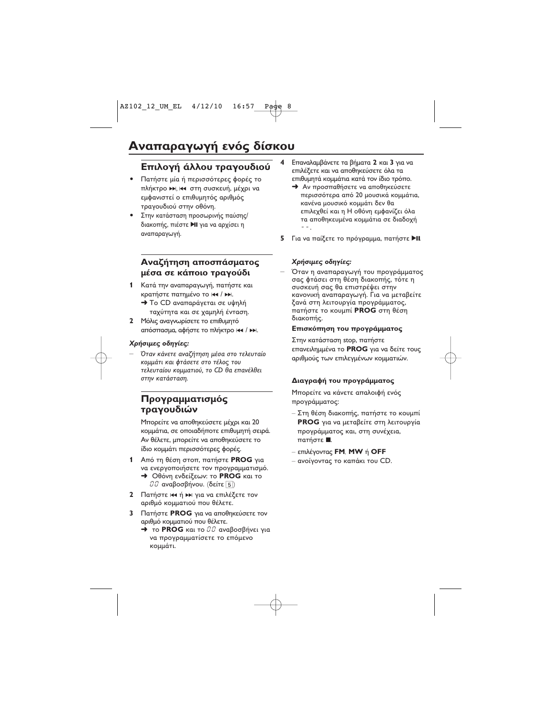### Επιλογή άλλου τραγουδιού

- Πατήστε μία ή περισσότερες φορές το πλήκτρο ▶ Η, Η στη συσκευή, μέχρι να εμφανιστεί ο επιθυμητός αριθμός τραγουδιού στην οθόνη.
- Στην κατάσταση προσωρινής παύσης/ διακοπής, πιέστε **→ΙΙ** για να αρχίσει η αναπαραγωγή.

#### Αναζήτηση αποσπάσματος μέσα σε κάποιο τραγούδι

- 1 Κατά την αναπαραγωγή, πατήστε και κρατήστε πατημένο το κα / ► .
	- Το CD αναπαράγεται σε υψηλή ταχύτητα και σε χαμηλή ένταση.
- Μόλις αναγνωρίσετε το επιθυμητό απόσπασμα, αφήστε το πλήκτρο και / >>.

#### Χρήσιμες οδηγίες:

Όταν κάνετε αναζήτηση μέσα στο τελευταίο κομμάτι και φτάσετε στο τέλος του τελευταίου κομματιού, το CD θα επανέλθει στην κατάσταση.

#### Προγραμματισμός τραγουδιών

Μπορείτε να αποθηκεύσετε μέχρι και 20 κομμάτια, σε οποιαδήποτε επιθυμητή σειρά. Αν θέλετε, μπορείτε να αποθηκεύσετε το ίδιο κομμάτι περισσότερες φορές.

- Από τη θέση στοπ, πατήστε PROG για να ενεργοποιήσετε τον προγραμματισμό. > Οθόνη ενδείξεων: το PROG και το  $\mathcal{I}\mathcal{I}$  αναβοσβήνου. (δείτε 5)
- $\mathbf{2}$ Πατήστε 144 ή >> για να επιλέξετε τον αριθμό κομματιού που θέλετε.
- 3 Πατήστε PROG για να αποθηκεύσετε τον αριθμό κομματιού που θέλετε.
	- → το PROG και το θθ αναβοσβήνει για να προγραμματίσετε το επόμενο κομμάτι.
- Επαναλαμβάνετε τα βήματα 2 και 3 για να επιλέξετε και να αποθηκεύσετε όλα τα επιθυμητά κομμάτια κατά τον ίδιο τρόπο.
	- Aν προσπαθήσετε να αποθηκεύσετε περισσότερα από 20 μουσικά κομμάτια, κανένα μουσικό κομμάτι δεν θα επιλεχθεί και η Η οθόνη εμφανίζει όλα τα αποθηκευμένα κομμάτια σε διαδοχή  $-$
- 5 Για να παίξετε το πρόγραμμα, πατήστε ▶II

#### Χρήσιμες οδηγίες:

Όταν η αναπαραγωγή του προγράμματος σας φτάσει στη θέση διακοπής, τότε η συσκευή σας θα επιστρέψει στην κανονική αναπαραγωγή. Για να μεταβείτε ξανά στη λειτουργία προγράμματος, πατήστε το κουμπί PROG στη θέση διακοπής.

#### Επισκόπηση του προγράμματος

Στην κατάσταση stop, πατήστε επανειλημμένα το PROG για να δείτε τους αριθμούς των επιλεγμένων κομματιών.

#### Διαγραφή του προγράμματος

Μπορείτε να κάνετε απαλοιφή ενός προγράμματος:

- Στη θέση διακοπής, πατήστε το κουμπί **PROG** για να μεταβείτε στη λειτουργία προγράμματος και, στη συνέχεια, πατήστε .
- επιλέγοντας FM, MW ή OFF
- ανοίγοντας το καπάκι του CD.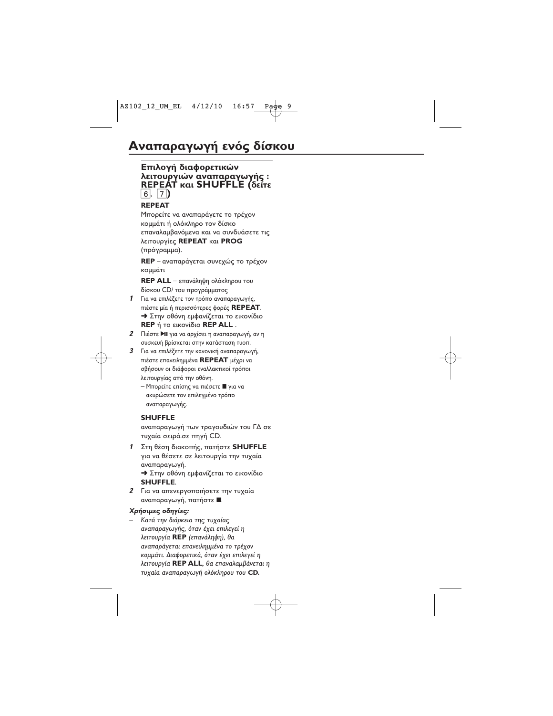#### **Επιλογή διαφορετικών - / : REPEAT και SHUFFLE (δείτε** 6, 7**)**

#### **REPEAT**

Μπορείτε να αναπαράγετε το τρέχον κομμάτι ή ολόκληρο τον δίσκο επαναλαμβανόμενα και να συνδυάσετε τις λειτουργίες **REPEAT** και **PROG** (πρόγραμμα).

**REP** – αναπαράγεται συνεχώς το τρέχον κομμάτι

**REP ALL** –   δίσκου CD/ του προγράμματος

- 1 Για να επιλέξετε τον τρόπο αναπαραγωγής, πιέστε μία ή περισσότερες φορές **REPEAT**. → Στην οθόνη εμφανίζεται το εικονίδιο **REP** ή το εικονίδιο **REP ALL** .
- **2** Πιέστε **>II** για να αρχίσει η αναπαραγωγή, αν η συσκευή βρίσκεται στην κατάσταση τυοπ.
- $\boldsymbol{\beta}$   $\,$  Για να επιλέξετε την κανονική αναπαραγωγή, πιέστε επανειλημμένα **REPEAT** μέχρι να σβήσουν οι διάφοροι εναλλακτικοί τρόποι λειτουργίας από την οθόνη.
	- Μπορείτε επίσης να πιέσετε για να ακυρώσετε τον επιλεγμένο τρόπο αναπαραγωγής.

#### **SHUFFLE**

αναπαραγωγή των τραγουδιών του ΓΔ σε τυχαία σειρά.σε πηγή CD.

- **1** Στη θέση διακοπής, πατήστε **SHUFFLE** για να θέσετε σε λειτουργία την τυχαία αναπαραγωγή. → Στην οθόνη εμφανίζεται το εικονίδιο **SHUFFLE**.
- *2* Για να απενεργοποιήσετε την τυχαία αναπαραγωγή, πατήστε ■

#### Χρήσιμες οδηγίες:

– Κατά την διάρκεια της τυχαίας αναπαραγωγής, όταν έχει επιλεγεί η λειτουργία **REP** (επανάληψη), θα αναπαράγεται επανειλημμένα το τρέχον κομμάτι. Διαφορετικά, όταν έχει επιλεγεί η λειτουργία **REP ALL**, θα επαναλαμβάνεται η τυχαία αναπαραγωγή ολόκληρου του **CD.**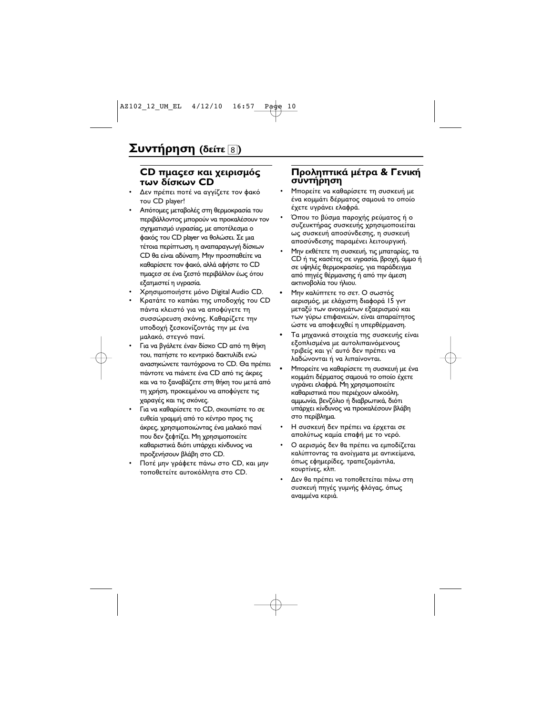#### CD πμαςεσ και χειρισμός **των δίσκων CD**

- Δεν πρέπει ποτέ να αγγίζετε τον φακό του CD player!
- Απότομες μεταβολές στη θερμοκρασία του περιβάλλοντος μπορούν να προκαλέσουν τον σχηματισμό υνρασίας, με αποτέλεσμα ο φακός του CD player να θολώσει. Σε μια τέτοια περίπτωση, η αναπαραγωγή δίσκων CD θα είναι αδύνατη. Μην προσπαθείτε να καθαρίσετε τον φακό, αλλά αφήστε το CD πμαςεσ σε ένα ζεστό περιβάλλον έως ότου εξατμιστεί η υγρασία.
- Χρησιμοποιήστε μόνο Digital Audio CD.
- Κρατάτε το καπάκι της υποδοχής του CD πάντα κλειστό για να αποφύγετε τη συσσώρευση σκόνης. Καθαρίζετε την υποδοχή ξεσκονίζοντάς την με ένα μαλακό, στεγνό πανί.
- Για να βγάλετε έναν δίσκο CD από τη θήκη του, πατήστε το κεντρικό δακτυλίδι ενώ ανασηκώνετε ταυτόχρονα το CD. Θα πρέπει πάντοτε να πιάνετε ένα CD από τις άκρες και να το ξαναβάζετε στη θήκη του μετά από τη χρήση, προκειμένου να αποφύγετε τις χαραγές και τις σκόνες.
- Για να καθαρίσετε το CD, σκουπίστε το σε ευθεία γραμμή από το κέντρο προς τις άκρες, χρησιμοποιώντας ένα μαλακό πανί που δεν ξεφτίζει. Μη χρησιμοποιείτε καθαριστικά διότι υπάρχει κίνδυνος να προξενήσουν βλάβη στο CD.
- Ποτέ μην γράφετε πάνω στο CD, και μην τοποθετείτε αυτοκόλλητα στο CD.

#### Προληπτικά μέτρα & Γενική συντήρηση

- Μπορείτε να καθαρίσετε τη συσκευή με ένα κομμάτι δέρματος σαμουά το οποίο έχετε υγράνει ελαφρά.
- Όπου το βύσμα παροχής ρεύματος ή ο συζευκτήρας συσκευής χρησιμοποιείται ως συσκευή αποσύνδεσης, η συσκευή αποσύνδεσης παραμένει λειτουργική.
- Μην εκθέτετε τη συσκευή, τις μπαταρίες, τα CD ή τις κασέτες σε υγρασία, βροχή, άμμο ή σε υψηλές θερμοκρασίες, για παράδειγμα από πηγές θέρμανσης ή από την άμεση ακτινοβολία του ήλιου.
- Μην καλύπτετε το σετ. Ο σωστός αερισμός, με ελάχιστη διαφορά 15 γντ μεταξύ των ανοιγμάτων εξαερισμού και των γύρω επιφανειών, είναι απαραίτητος ώστε να αποφευχθεί η υπερθέρμανση.
- Τα μηχανικά στοιχεία της συσκευής είναι εξοπλισμένα με αυτολιπαινόμενους τριβείς και γι' αυτό δεν πρέπει να λαδώνονται ή να λιπαίνονται.
- Μπορείτε να καθαρίσετε τη συσκευή με ένα κομμάτι δέρματος σαμουά το οποίο έχετε υγράνει ελαφρά. Μη χρησιμοποιείτε καθαριστικά που περιέχουν αλκοόλη, αμμωνία, βενζόλιο ή διαβρωτικά, διότι υπάρχει κίνδυνος να προκαλέσουν βλάβη στο περίβλημα.
- Η συσκευή δεν πρέπει να έρχεται σε απολύτως καμία επαφή με το νερό.
- Ο αερισμός δεν θα πρέπει να εμποδίζεται καλύπτοντας τα ανοίγματα με αντικείμενα, όπως εφημερίδες, τραπεζομάντιλα, κουρτίνες, κλπ.
- Δεν θα πρέπει να τοποθετείται πάνω στη συσκευή πηγές γυμνής φλόγας, όπως αναμμένα κεριά.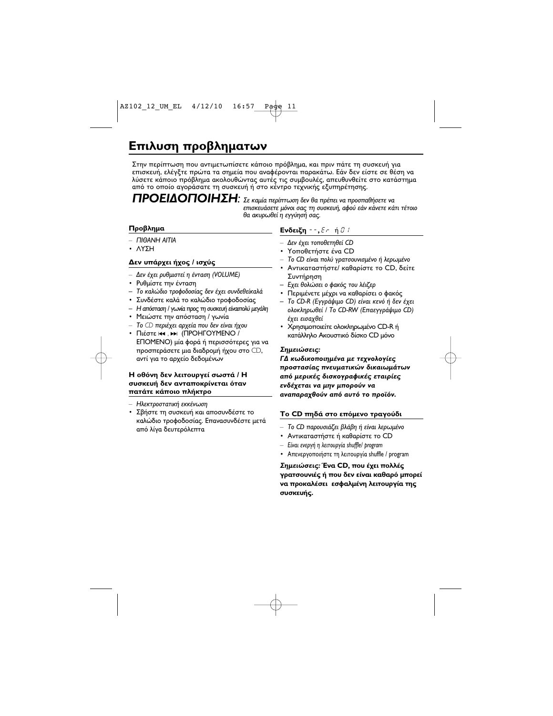# Επιλυση προβληματων

Στην περίπτωση που αντιμετωπίσετε κάποιο πρόβλημα, και πριν πάτε τη συσκευή για επισκευή, ελέγξτε πρώτα τα σημεία που αναφέρονται παρακάτω. Εάν δεν είστε σε θέση να λύσετε κάποιο πρόβλημα ακολουθώντας αυτές τις συμβουλές, απευθυνθείτε στο κατάστημα από το οποίο αγοράσατε τη συσκευή ή στο κέντρο τεχνικής εξυπηρέτησης.

**ΠΡΟΕΙΔΟΠΟΙΗΣΗ:** Σε καμία περίπτωση δεν θα πρέπει να προσπαθήσετε να επισκευάσετε μόνοι σας τη συσκευή, αφού εάν κάνετε κάτι τέτοιο θα ακυρωθεί η εγγύησή σας.

#### Προβλημα

- $\Box$ IOANH AITIA
- · VAAH

#### Δεν υπάρχει ήχος / ισχύς

- Δεν έχει ρυθμιστεί η ένταση (VOLUME)
- Ρυθμίστε την ένταση
- Το καλώδιο τροφοδοσίας δεν έχει συνδεθείκαλά
- Συνδέστε καλά το καλώδιο τροφοδοσίας
- Η απόσταση / γωνία προς τη συσκευή είναιπολύ μεγάλη
- Μειώστε την απόσταση / γωνία
- Το CD περιέχει αρχεία που δεν είναι ήχου
- Πιέστε και, » (ΠΡΟΗΓΟΥΜΕΝΟ / ΕΠΟΜΕΝΟ) μία φορά ή περισσότερες για να προσπεράσετε μια διαδρομή ήχου στο CD, αντί για το αρχείο δεδομένων

#### Η οθόνη δεν λειτουργεί σωστά / Η συσκευή δεν ανταποκρίνεται όταν πατάτε κάποιο πλήκτρο

- Ηλεκτροστατική εκκένωση
- Σβήστε τη συσκευή και αποσυνδέστε το καλώδιο τροφοδοσίας. Επανασυνδέστε μετά από λίγα δευτερόλεπτα

#### **Ενδειξη - -,**  $E$  σ ή θ θ

- Δεν έχει τοποθετηθεί CD
- Υοποθετήστε ένα CD
- Το CD είναι πολύ γρατσουνισμένο ή λερωμένο
- · Αντικαταστήστε/ καθαρίστε το CD, δείτε Συντήρηση
- Εχει θολώσει ο φακός του λέιζερ
- Περιμένετε μέχρι να καθαρίσει ο φακός
- Το CD-R (Εγγράψιμο CD) είναι κενό ή δεν έχει ολοκληρωθεί / Το CD-RW (Επαεγγράψιμο CD) έχει εισαχθεί
- Χρησιμοποιείτε ολοκληρωμένο CD-R ή κατάλληλο Ακουστικό δίσκο CD μόνο

#### Σημειώσεις:

ΓΔ κωδικοποιημένα με τεχνολογίες προστασίας πνευματικών δικαιωμάτων από μερικές δισκογραφικές εταιρίες ενδέχεται να μην μπορούν να αναπαραχθούν από αυτό το προϊόν.

#### **Το CD πηδά στο επόμενο τραγούδι**

- Το CD παρουσιάζει βλάβη ή είναι λερωμένο
- Αντικαταστήστε ή καθαρίστε το CD
- Είναι ενεργή η λειτουργία shuffle/ program
- Απενεργοποιήστε τη λειτουργία shuffle / program

Σημειώσεις: Ένα CD, που έχει πολλές γρατσουνιές ή που δεν είναι καθαρό μπορεί να προκαλέσει εσφαλμένη λειτουργία της συσκευής.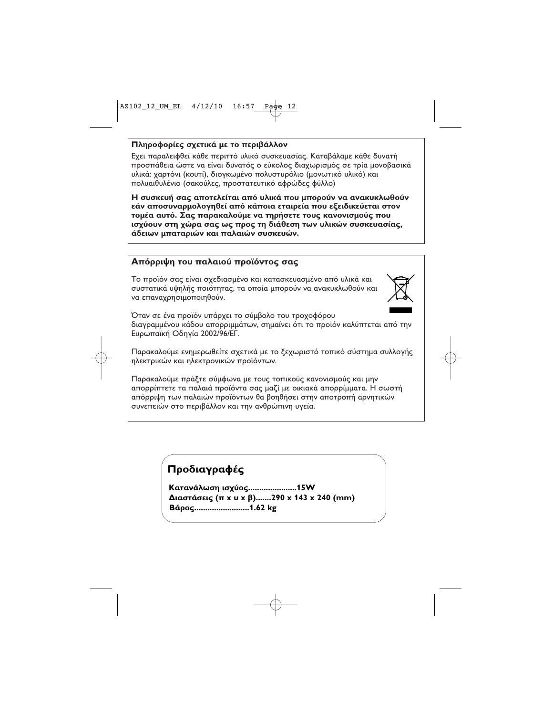#### Πληροφορίες σχετικά με το περιβάλλον

Εχει παραλειφθεί κάθε περιττό υλικό συσκευασίας. Καταβάλαμε κάθε δυνατή προσπάθεια ώστε να είναι δυνατός ο εύκολος διαχωρισμός σε τρία μονοβασικά υλικά: χαρτόνι (κουτί), διογκωμένο πολυστυρόλιο (μονωτικό υλικό) και πολυαιθυλένιο (σακούλες, προστατευτικό αφρώδες φύλλο)

Η συσκευή σας αποτελείται από υλικά που μπορούν να ανακυκλωθούν εάν αποσυναρμολογηθεί από κάποια εταιρεία που εξειδικεύεται στον τομέα αυτό. Σας παρακαλούμε να τηρήσετε τους κανονισμούς που ισχύουν στη χώρα σας ως προς τη διάθεση των υλικών συσκευασίας, άδειων μπαταριών και παλαιών συσκευών.

#### Απόρριψη του παλαιού προϊόντος σας

Το προϊόν σας είναι σχεδιασμένο και κατασκευασμένο από υλικά και συστατικά υψηλής ποιότητας, τα οποία μπορούν να ανακυκλωθούν και να επαναχρησιμοποιηθούν.

![](_page_11_Picture_5.jpeg)

Όταν σε ένα προϊόν υπάρχει το σύμβολο του τροχοφόρου διαγραμμένου κάδου απορριμμάτων, σημαίνει ότι το προϊόν καλύπτεται από την Ευρωπαϊκή Οδηγία 2002/96/ΕΓ.

Παρακαλούμε ενημερωθείτε σχετικά με το ξεχωριστό τοπικό σύστημα συλλογής ηλεκτρικών και ηλεκτρονικών προϊόντων.

Παρακαλούμε πράξτε σύμφωνα με τους τοπικούς κανονισμούς και μην απορρίπτετε τα παλαιά προϊόντα σας μαζί με οικιακά απορρίμματα. Η σωστή απόρριψη των παλαιών προϊόντων θα βοηθήσει στην αποτροπή αρνητικών συνεπειών στο περιβάλλον και την ανθρώπινη υγεία.

### Προδιαγραφές

Κατανάλωση ισχύος......................15W Διαστάσεις (π x u x β).......290 x 143 x 240 (mm) Βάρος..........................1.62 kg